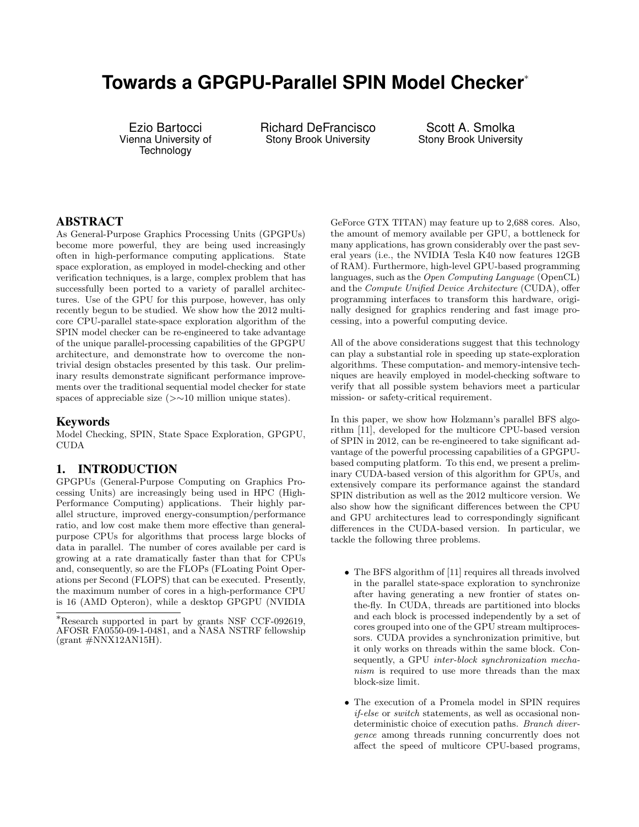# **Towards a GPGPU-Parallel SPIN Model Checker**<sup>∗</sup>

Ezio Bartocci Vienna University of **Technology** 

Richard DeFrancisco Stony Brook University

Scott A. Smolka Stony Brook University

## ABSTRACT

As General-Purpose Graphics Processing Units (GPGPUs) become more powerful, they are being used increasingly often in high-performance computing applications. State space exploration, as employed in model-checking and other verification techniques, is a large, complex problem that has successfully been ported to a variety of parallel architectures. Use of the GPU for this purpose, however, has only recently begun to be studied. We show how the 2012 multicore CPU-parallel state-space exploration algorithm of the SPIN model checker can be re-engineered to take advantage of the unique parallel-processing capabilities of the GPGPU architecture, and demonstrate how to overcome the nontrivial design obstacles presented by this task. Our preliminary results demonstrate significant performance improvements over the traditional sequential model checker for state spaces of appreciable size (>∼10 million unique states).

## Keywords

Model Checking, SPIN, State Space Exploration, GPGPU, CUDA

## 1. INTRODUCTION

GPGPUs (General-Purpose Computing on Graphics Processing Units) are increasingly being used in HPC (High-Performance Computing) applications. Their highly parallel structure, improved energy-consumption/performance ratio, and low cost make them more effective than generalpurpose CPUs for algorithms that process large blocks of data in parallel. The number of cores available per card is growing at a rate dramatically faster than that for CPUs and, consequently, so are the FLOPs (FLoating Point Operations per Second (FLOPS) that can be executed. Presently, the maximum number of cores in a high-performance CPU is 16 (AMD Opteron), while a desktop GPGPU (NVIDIA

GeForce GTX TITAN) may feature up to 2,688 cores. Also, the amount of memory available per GPU, a bottleneck for many applications, has grown considerably over the past several years (i.e., the NVIDIA Tesla K40 now features 12GB of RAM). Furthermore, high-level GPU-based programming languages, such as the Open Computing Language (OpenCL) and the Compute Unified Device Architecture (CUDA), offer programming interfaces to transform this hardware, originally designed for graphics rendering and fast image processing, into a powerful computing device.

All of the above considerations suggest that this technology can play a substantial role in speeding up state-exploration algorithms. These computation- and memory-intensive techniques are heavily employed in model-checking software to verify that all possible system behaviors meet a particular mission- or safety-critical requirement.

In this paper, we show how Holzmann's parallel BFS algorithm [11], developed for the multicore CPU-based version of SPIN in 2012, can be re-engineered to take significant advantage of the powerful processing capabilities of a GPGPUbased computing platform. To this end, we present a preliminary CUDA-based version of this algorithm for GPUs, and extensively compare its performance against the standard SPIN distribution as well as the 2012 multicore version. We also show how the significant differences between the CPU and GPU architectures lead to correspondingly significant differences in the CUDA-based version. In particular, we tackle the following three problems.

- The BFS algorithm of [11] requires all threads involved in the parallel state-space exploration to synchronize after having generating a new frontier of states onthe-fly. In CUDA, threads are partitioned into blocks and each block is processed independently by a set of cores grouped into one of the GPU stream multiprocessors. CUDA provides a synchronization primitive, but it only works on threads within the same block. Consequently, a GPU *inter-block synchronization mecha*nism is required to use more threads than the max block-size limit.
- The execution of a Promela model in SPIN requires if-else or switch statements, as well as occasional nondeterministic choice of execution paths. Branch divergence among threads running concurrently does not affect the speed of multicore CPU-based programs,

<sup>∗</sup>Research supported in part by grants NSF CCF-092619, AFOSR FA0550-09-1-0481, and a NASA NSTRF fellowship  $(grant #NNX12AN15H).$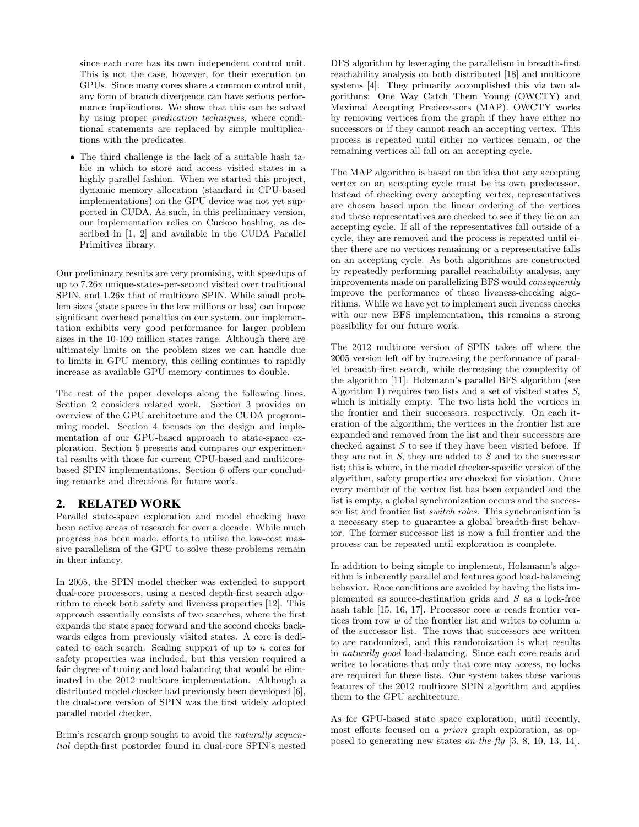since each core has its own independent control unit. This is not the case, however, for their execution on GPUs. Since many cores share a common control unit, any form of branch divergence can have serious performance implications. We show that this can be solved by using proper predication techniques, where conditional statements are replaced by simple multiplications with the predicates.

• The third challenge is the lack of a suitable hash table in which to store and access visited states in a highly parallel fashion. When we started this project, dynamic memory allocation (standard in CPU-based implementations) on the GPU device was not yet supported in CUDA. As such, in this preliminary version, our implementation relies on Cuckoo hashing, as described in [1, 2] and available in the CUDA Parallel Primitives library.

Our preliminary results are very promising, with speedups of up to 7.26x unique-states-per-second visited over traditional SPIN, and 1.26x that of multicore SPIN. While small problem sizes (state spaces in the low millions or less) can impose significant overhead penalties on our system, our implementation exhibits very good performance for larger problem sizes in the 10-100 million states range. Although there are ultimately limits on the problem sizes we can handle due to limits in GPU memory, this ceiling continues to rapidly increase as available GPU memory continues to double.

The rest of the paper develops along the following lines. Section 2 considers related work. Section 3 provides an overview of the GPU architecture and the CUDA programming model. Section 4 focuses on the design and implementation of our GPU-based approach to state-space exploration. Section 5 presents and compares our experimental results with those for current CPU-based and multicorebased SPIN implementations. Section 6 offers our concluding remarks and directions for future work.

## 2. RELATED WORK

Parallel state-space exploration and model checking have been active areas of research for over a decade. While much progress has been made, efforts to utilize the low-cost massive parallelism of the GPU to solve these problems remain in their infancy.

In 2005, the SPIN model checker was extended to support dual-core processors, using a nested depth-first search algorithm to check both safety and liveness properties [12]. This approach essentially consists of two searches, where the first expands the state space forward and the second checks backwards edges from previously visited states. A core is dedicated to each search. Scaling support of up to n cores for safety properties was included, but this version required a fair degree of tuning and load balancing that would be eliminated in the 2012 multicore implementation. Although a distributed model checker had previously been developed [6], the dual-core version of SPIN was the first widely adopted parallel model checker.

Brim's research group sought to avoid the naturally sequential depth-first postorder found in dual-core SPIN's nested

DFS algorithm by leveraging the parallelism in breadth-first reachability analysis on both distributed [18] and multicore systems [4]. They primarily accomplished this via two algorithms: One Way Catch Them Young (OWCTY) and Maximal Accepting Predecessors (MAP). OWCTY works by removing vertices from the graph if they have either no successors or if they cannot reach an accepting vertex. This process is repeated until either no vertices remain, or the remaining vertices all fall on an accepting cycle.

The MAP algorithm is based on the idea that any accepting vertex on an accepting cycle must be its own predecessor. Instead of checking every accepting vertex, representatives are chosen based upon the linear ordering of the vertices and these representatives are checked to see if they lie on an accepting cycle. If all of the representatives fall outside of a cycle, they are removed and the process is repeated until either there are no vertices remaining or a representative falls on an accepting cycle. As both algorithms are constructed by repeatedly performing parallel reachability analysis, any improvements made on parallelizing BFS would consequently improve the performance of these liveness-checking algorithms. While we have yet to implement such liveness checks with our new BFS implementation, this remains a strong possibility for our future work.

The 2012 multicore version of SPIN takes off where the 2005 version left off by increasing the performance of parallel breadth-first search, while decreasing the complexity of the algorithm [11]. Holzmann's parallel BFS algorithm (see Algorithm 1) requires two lists and a set of visited states  $S$ , which is initially empty. The two lists hold the vertices in the frontier and their successors, respectively. On each iteration of the algorithm, the vertices in the frontier list are expanded and removed from the list and their successors are checked against S to see if they have been visited before. If they are not in S, they are added to S and to the successor list; this is where, in the model checker-specific version of the algorithm, safety properties are checked for violation. Once every member of the vertex list has been expanded and the list is empty, a global synchronization occurs and the successor list and frontier list switch roles. This synchronization is a necessary step to guarantee a global breadth-first behavior. The former successor list is now a full frontier and the process can be repeated until exploration is complete.

In addition to being simple to implement, Holzmann's algorithm is inherently parallel and features good load-balancing behavior. Race conditions are avoided by having the lists implemented as source-destination grids and S as a lock-free hash table [15, 16, 17]. Processor core w reads frontier vertices from row w of the frontier list and writes to column w of the successor list. The rows that successors are written to are randomized, and this randomization is what results in naturally good load-balancing. Since each core reads and writes to locations that only that core may access, no locks are required for these lists. Our system takes these various features of the 2012 multicore SPIN algorithm and applies them to the GPU architecture.

As for GPU-based state space exploration, until recently, most efforts focused on a priori graph exploration, as opposed to generating new states on-the-fly [3, 8, 10, 13, 14].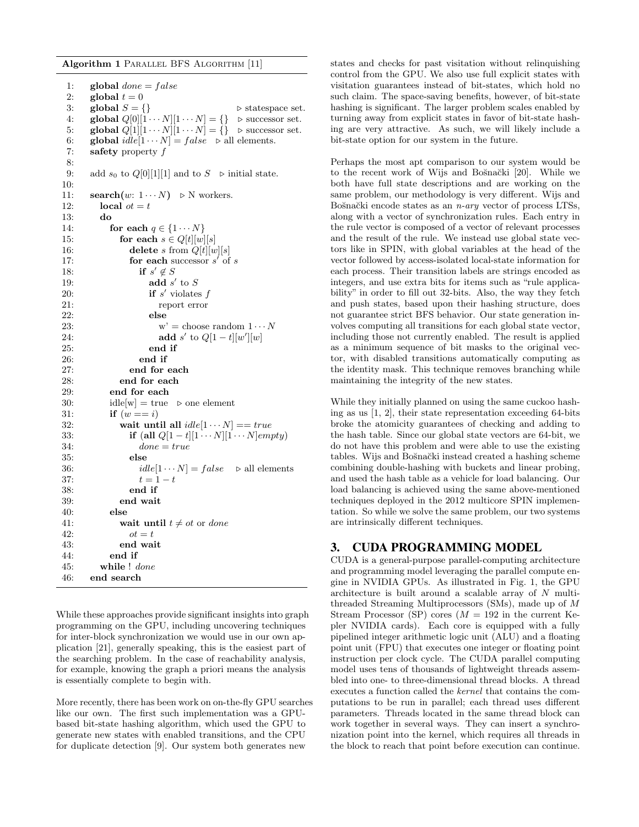#### Algorithm 1 Parallel BFS Algorithm [11]

```
1: global done = false2: global t = 03: global S = \{\} b statespace set.
4: global Q[0][1 \cdots N][1 \cdots N] = \{\} \triangleright successor set.
5: global Q[1][1 \cdots N][1 \cdots N] = \{\} > successor set.
6: global idle[1 \cdots N] = false \triangleright all elements.
7: safety property f
8:
9: add s_0 to Q[0][1][1] and to S \Rightarrow initial state.
10:
11: search(w: 1 \cdots N) \triangleright N workers.
12: \textbf{local } ot = t13: do
14: for each q \in \{1 \cdots N\}15: for each s \in Q[t][w][s]16: delete s from Q[t][w][s]17: for each successor s' of s18: if s' \notin S19: add s' to S
20: if s' violates f
21: report error
22: else
23: w' = choose random 1 \cdots N24: add s' to Q[1-t][w'][w]25: end if
26: end if
27: end for each
28: end for each
29: end for each
30: idle[w] = true \triangleright one element
31: if (w == i)32: wait until all idle[1 \cdots N] == true33: if (all Q[1 - t][1 \cdots N][1 \cdots N]empty)
34: \qquad \qquad done = true35: else
36: idle[1 \cdots N] = false \triangleright all elements
37: t = 1 - t38: end if
39: end wait
40: else
41: wait until t \neq o t or done
42: \qquad \qquad \sigma t = t43: end wait
44: end if
45: while ! done
46: end search
```
While these approaches provide significant insights into graph programming on the GPU, including uncovering techniques for inter-block synchronization we would use in our own application [21], generally speaking, this is the easiest part of the searching problem. In the case of reachability analysis, for example, knowing the graph a priori means the analysis is essentially complete to begin with.

More recently, there has been work on on-the-fly GPU searches like our own. The first such implementation was a GPUbased bit-state hashing algorithm, which used the GPU to generate new states with enabled transitions, and the CPU for duplicate detection [9]. Our system both generates new

states and checks for past visitation without relinquishing control from the GPU. We also use full explicit states with visitation guarantees instead of bit-states, which hold no such claim. The space-saving benefits, however, of bit-state hashing is significant. The larger problem scales enabled by turning away from explicit states in favor of bit-state hashing are very attractive. As such, we will likely include a bit-state option for our system in the future.

Perhaps the most apt comparison to our system would be to the recent work of Wijs and Bošnački [20]. While we both have full state descriptions and are working on the same problem, our methodology is very different. Wijs and Bošnački encode states as an  $n$ -ary vector of process LTSs, along with a vector of synchronization rules. Each entry in the rule vector is composed of a vector of relevant processes and the result of the rule. We instead use global state vectors like in SPIN, with global variables at the head of the vector followed by access-isolated local-state information for each process. Their transition labels are strings encoded as integers, and use extra bits for items such as "rule applicability" in order to fill out 32-bits. Also, the way they fetch and push states, based upon their hashing structure, does not guarantee strict BFS behavior. Our state generation involves computing all transitions for each global state vector, including those not currently enabled. The result is applied as a minimum sequence of bit masks to the original vector, with disabled transitions automatically computing as the identity mask. This technique removes branching while maintaining the integrity of the new states.

While they initially planned on using the same cuckoo hashing as us [1, 2], their state representation exceeding 64-bits broke the atomicity guarantees of checking and adding to the hash table. Since our global state vectors are 64-bit, we do not have this problem and were able to use the existing tables. Wijs and Bo˘sna˘cki instead created a hashing scheme combining double-hashing with buckets and linear probing, and used the hash table as a vehicle for load balancing. Our load balancing is achieved using the same above-mentioned techniques deployed in the 2012 multicore SPIN implementation. So while we solve the same problem, our two systems are intrinsically different techniques.

## 3. CUDA PROGRAMMING MODEL

CUDA is a general-purpose parallel-computing architecture and programming model leveraging the parallel compute engine in NVIDIA GPUs. As illustrated in Fig. 1, the GPU architecture is built around a scalable array of N multithreaded Streaming Multiprocessors (SMs), made up of M Stream Processor (SP) cores  $(M = 192$  in the current Kepler NVIDIA cards). Each core is equipped with a fully pipelined integer arithmetic logic unit (ALU) and a floating point unit (FPU) that executes one integer or floating point instruction per clock cycle. The CUDA parallel computing model uses tens of thousands of lightweight threads assembled into one- to three-dimensional thread blocks. A thread executes a function called the kernel that contains the computations to be run in parallel; each thread uses different parameters. Threads located in the same thread block can work together in several ways. They can insert a synchronization point into the kernel, which requires all threads in the block to reach that point before execution can continue.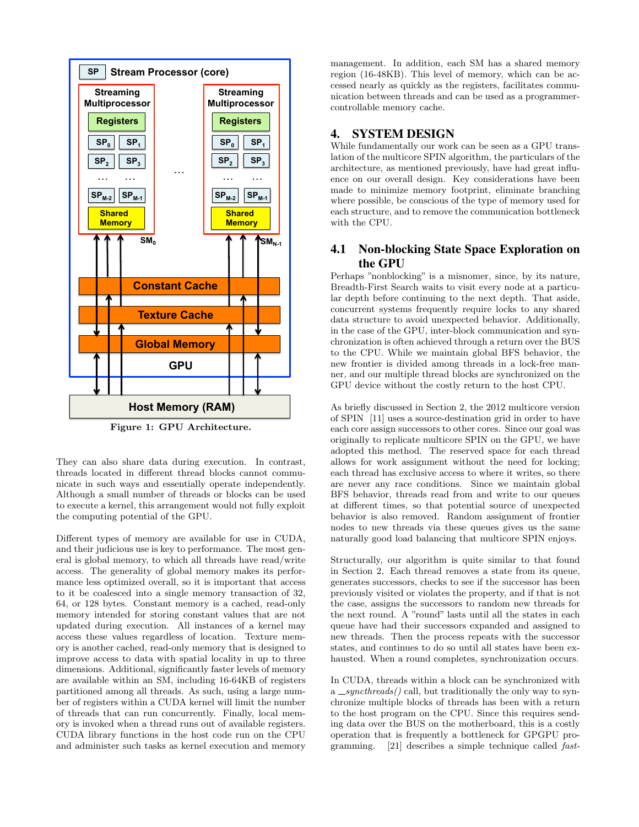

Figure 1: GPU Architecture.

They can also share data during execution. In contrast, threads located in different thread blocks cannot communicate in such ways and essentially operate independently. Although a small number of threads or blocks can be used to execute a kernel, this arrangement would not fully exploit the computing potential of the GPU.

Different types of memory are available for use in CUDA, and their judicious use is key to performance. The most general is global memory, to which all threads have read/write access. The generality of global memory makes its performance less optimized overall, so it is important that access to it be coalesced into a single memory transaction of 32, 64, or 128 bytes. Constant memory is a cached, read-only memory intended for storing constant values that are not updated during execution. All instances of a kernel may access these values regardless of location. Texture memory is another cached, read-only memory that is designed to improve access to data with spatial locality in up to three dimensions. Additional, significantly faster levels of memory are available within an SM, including 16-64KB of registers partitioned among all threads. As such, using a large number of registers within a CUDA kernel will limit the number of threads that can run concurrently. Finally, local memory is invoked when a thread runs out of available registers. CUDA library functions in the host code run on the CPU and administer such tasks as kernel execution and memory management. In addition, each SM has a shared memory region (16-48KB). This level of memory, which can be accessed nearly as quickly as the registers, facilitates communication between threads and can be used as a programmercontrollable memory cache.

## 4. SYSTEM DESIGN

While fundamentally our work can be seen as a GPU translation of the multicore SPIN algorithm, the particulars of the architecture, as mentioned previously, have had great influence on our overall design. Key considerations have been made to minimize memory footprint, eliminate branching where possible, be conscious of the type of memory used for each structure, and to remove the communication bottleneck with the CPU.

## 4.1 Non-blocking State Space Exploration on the GPU

Perhaps "nonblocking" is a misnomer, since, by its nature, Breadth-First Search waits to visit every node at a particular depth before continuing to the next depth. That aside, concurrent systems frequently require locks to any shared data structure to avoid unexpected behavior. Additionally, in the case of the GPU, inter-block communication and synchronization is often achieved through a return over the BUS to the CPU. While we maintain global BFS behavior, the new frontier is divided among threads in a lock-free manner, and our multiple thread blocks are synchronized on the GPU device without the costly return to the host CPU.

As briefly discussed in Section 2, the 2012 multicore version of SPIN [11] uses a source-destination grid in order to have each core assign successors to other cores. Since our goal was originally to replicate multicore SPIN on the GPU, we have adopted this method. The reserved space for each thread allows for work assignment without the need for locking; each thread has exclusive access to where it writes, so there are never any race conditions. Since we maintain global BFS behavior, threads read from and write to our queues at different times, so that potential source of unexpected behavior is also removed. Random assignment of frontier nodes to new threads via these queues gives us the same naturally good load balancing that multicore SPIN enjoys.

Structurally, our algorithm is quite similar to that found in Section 2. Each thread removes a state from its queue, generates successors, checks to see if the successor has been previously visited or violates the property, and if that is not the case, assigns the successors to random new threads for the next round. A "round" lasts until all the states in each queue have had their successors expanded and assigned to new threads. Then the process repeats with the successor states, and continues to do so until all states have been exhausted. When a round completes, synchronization occurs.

In CUDA, threads within a block can be synchronized with a  $\equiv$ syncthreads() call, but traditionally the only way to synchronize multiple blocks of threads has been with a return to the host program on the CPU. Since this requires sending data over the BUS on the motherboard, this is a costly operation that is frequently a bottleneck for GPGPU programming. [21] describes a simple technique called fast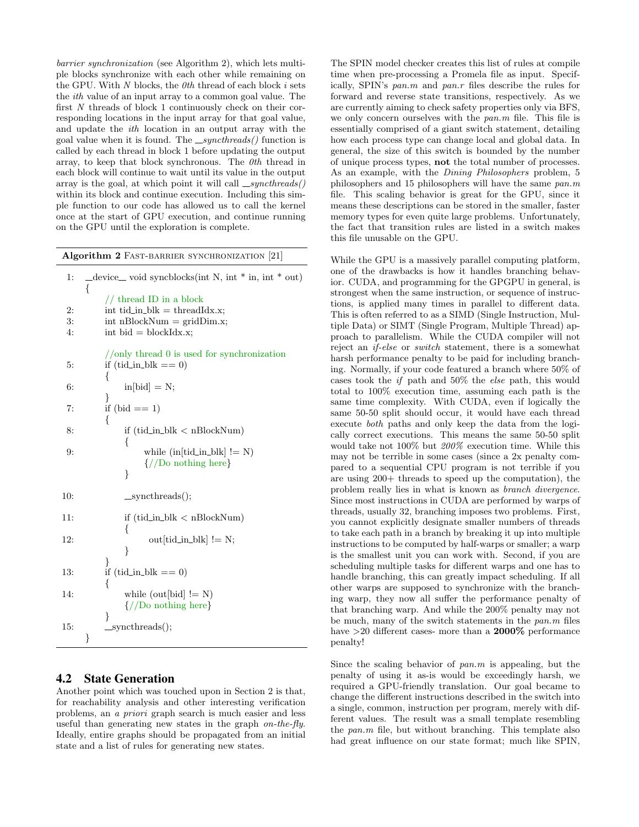barrier synchronization (see Algorithm 2), which lets multiple blocks synchronize with each other while remaining on the GPU. With  $N$  blocks, the  $0th$  thread of each block  $i$  sets the ith value of an input array to a common goal value. The first N threads of block 1 continuously check on their corresponding locations in the input array for that goal value, and update the ith location in an output array with the goal value when it is found. The  $\equiv$ syncthreads() function is called by each thread in block 1 before updating the output array, to keep that block synchronous. The  $0$ th thread in each block will continue to wait until its value in the output array is the goal, at which point it will call  $\_\mathit{syncthreads}()$ within its block and continue execution. Including this simple function to our code has allowed us to call the kernel once at the start of GPU execution, and continue running on the GPU until the exploration is complete.

Algorithm 2 FAST-BARRIER SYNCHRONIZATION [21] 1:  $\_\_\$ {device\\_\}void syncblocks(int N, int  $*$  in, int  $*$  out) { // thread ID in a block 2: int tid\_in\_blk = threadIdx.x; 3: int nBlockNum = gridDim.x; 4: int bid = blockIdx.x; //only thread 0 is used for synchronization 5: if  $(tid_in_b)$ k  $== 0$ ) { 6:  $\text{in}[\text{bid}] = \text{N};$ } 7: if  $(bid == 1)$  $\mathbf{f}$ 8: if (tid\_in\_blk < nBlockNum)  $\{$ 9: while  $(in [tid_in_b] != N)$ {//Do nothing here} } 10: syncthreads(); 11: if (tid\_in\_blk < nBlockNum)  $\{$ 12:  $\text{out}[\text{tid_in_b}]\mathbf{l} = \mathbf{N};$ } } 13: if  $(tid_in_b)$ k  $== 0)$ { 14: while  $(\text{out}[bid] != N)$ {//Do nothing here} } 15: syncthreads(); }

## 4.2 State Generation

Another point which was touched upon in Section 2 is that, for reachability analysis and other interesting verification problems, an a priori graph search is much easier and less useful than generating new states in the graph on-the-fly. Ideally, entire graphs should be propagated from an initial state and a list of rules for generating new states.

The SPIN model checker creates this list of rules at compile time when pre-processing a Promela file as input. Specifically, SPIN's pan.m and pan.r files describe the rules for forward and reverse state transitions, respectively. As we are currently aiming to check safety properties only via BFS, we only concern ourselves with the pan.m file. This file is essentially comprised of a giant switch statement, detailing how each process type can change local and global data. In general, the size of this switch is bounded by the number of unique process types, not the total number of processes. As an example, with the Dining Philosophers problem, 5 philosophers and 15 philosophers will have the same pan.m file. This scaling behavior is great for the GPU, since it means these descriptions can be stored in the smaller, faster memory types for even quite large problems. Unfortunately, the fact that transition rules are listed in a switch makes this file unusable on the GPU.

While the GPU is a massively parallel computing platform, one of the drawbacks is how it handles branching behavior. CUDA, and programming for the GPGPU in general, is strongest when the same instruction, or sequence of instructions, is applied many times in parallel to different data. This is often referred to as a SIMD (Single Instruction, Multiple Data) or SIMT (Single Program, Multiple Thread) approach to parallelism. While the CUDA compiler will not reject an if-else or switch statement, there is a somewhat harsh performance penalty to be paid for including branching. Normally, if your code featured a branch where 50% of cases took the if path and 50% the else path, this would total to 100% execution time, assuming each path is the same time complexity. With CUDA, even if logically the same 50-50 split should occur, it would have each thread execute both paths and only keep the data from the logically correct executions. This means the same 50-50 split would take not 100% but 200% execution time. While this may not be terrible in some cases (since a 2x penalty compared to a sequential CPU program is not terrible if you are using 200+ threads to speed up the computation), the problem really lies in what is known as branch divergence. Since most instructions in CUDA are performed by warps of threads, usually 32, branching imposes two problems. First, you cannot explicitly designate smaller numbers of threads to take each path in a branch by breaking it up into multiple instructions to be computed by half-warps or smaller; a warp is the smallest unit you can work with. Second, if you are scheduling multiple tasks for different warps and one has to handle branching, this can greatly impact scheduling. If all other warps are supposed to synchronize with the branching warp, they now all suffer the performance penalty of that branching warp. And while the 200% penalty may not be much, many of the switch statements in the  $pan.m$  files have  $>20$  different cases- more than a 2000 $\%$  performance penalty!

Since the scaling behavior of  $pan.m$  is appealing, but the penalty of using it as-is would be exceedingly harsh, we required a GPU-friendly translation. Our goal became to change the different instructions described in the switch into a single, common, instruction per program, merely with different values. The result was a small template resembling the pan.m file, but without branching. This template also had great influence on our state format; much like SPIN,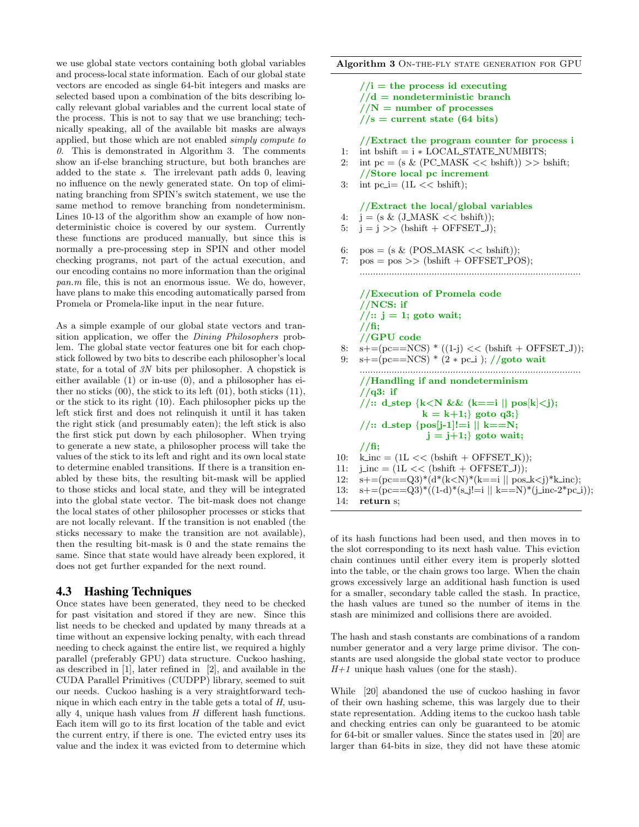we use global state vectors containing both global variables and process-local state information. Each of our global state vectors are encoded as single 64-bit integers and masks are selected based upon a combination of the bits describing locally relevant global variables and the current local state of the process. This is not to say that we use branching; technically speaking, all of the available bit masks are always applied, but those which are not enabled simply compute to 0. This is demonstrated in Algorithm 3. The comments show an if-else branching structure, but both branches are added to the state s. The irrelevant path adds 0, leaving no influence on the newly generated state. On top of eliminating branching from SPIN's switch statement, we use the same method to remove branching from nondeterminism. Lines 10-13 of the algorithm show an example of how nondeterministic choice is covered by our system. Currently these functions are produced manually, but since this is normally a pre-processing step in SPIN and other model checking programs, not part of the actual execution, and our encoding contains no more information than the original pan.m file, this is not an enormous issue. We do, however, have plans to make this encoding automatically parsed from Promela or Promela-like input in the near future.

As a simple example of our global state vectors and transition application, we offer the Dining Philosophers problem. The global state vector features one bit for each chopstick followed by two bits to describe each philosopher's local state, for a total of 3N bits per philosopher. A chopstick is either available (1) or in-use (0), and a philosopher has either no sticks  $(00)$ , the stick to its left  $(01)$ , both sticks  $(11)$ , or the stick to its right (10). Each philosopher picks up the left stick first and does not relinquish it until it has taken the right stick (and presumably eaten); the left stick is also the first stick put down by each philosopher. When trying to generate a new state, a philosopher process will take the values of the stick to its left and right and its own local state to determine enabled transitions. If there is a transition enabled by these bits, the resulting bit-mask will be applied to those sticks and local state, and they will be integrated into the global state vector. The bit-mask does not change the local states of other philosopher processes or sticks that are not locally relevant. If the transition is not enabled (the sticks necessary to make the transition are not available), then the resulting bit-mask is 0 and the state remains the same. Since that state would have already been explored, it does not get further expanded for the next round.

## 4.3 Hashing Techniques

Once states have been generated, they need to be checked for past visitation and stored if they are new. Since this list needs to be checked and updated by many threads at a time without an expensive locking penalty, with each thread needing to check against the entire list, we required a highly parallel (preferably GPU) data structure. Cuckoo hashing, as described in [1], later refined in [2], and available in the CUDA Parallel Primitives (CUDPP) library, seemed to suit our needs. Cuckoo hashing is a very straightforward technique in which each entry in the table gets a total of H, usually 4, unique hash values from H different hash functions. Each item will go to its first location of the table and evict the current entry, if there is one. The evicted entry uses its value and the index it was evicted from to determine which Algorithm 3 ON-THE-FLY STATE GENERATION FOR GPU

 $//i =$  the process id executing  $//d = nondeterministic branch$  $//N =$  number of processes  $//s = current state (64 bits)$ 

//Extract the program counter for process i

- 1: int bshift  $= i * LOGALSTATE_NUMBITS$ ; 2: int pc = (s & (PC\_MASK << bshift)) >> bshift;
- //Store local pc increment 3: int pc\_i =  $(1L \ll bshift);$

//Extract the local/global variables

4:  $j = (s \& (J_MASK << bshift));$ 

5:  $j = j \gg$  (bshift + OFFSET\_J);

- 6:  $pos = (s \& (POS\_MASK << bshift));$
- 7:  $pos = pos \gg (bshift + OFFSET_POS);$ ...................................................................................

```
//Execution of Promela code
     //NCS: if
     //:: j = 1; goto wait;
     //fi;//GPU code
 8: s+=(pc==NCS)*(1-j)<<(bshift+OFFSET_J));s+=(pc==NCS) * (2 \ast pc_i ); //goto wait
     ...................................................................................
     //Handling if and nondeterminism
     //q3: if
     //:: d_step {k<N && (k==i || pos[k]<j);
                    k = k+1;} goto q3;}
     //:: d_step \{pos[j-1] != i || k == N;j = j+1;} goto wait;
     //fi;10: k\text{inc} = (1L \ll (bshift + OFFSET_K));11: \text{jinc} = (1L \ll (\text{bshift} + \text{OFFSET} \cdot \text{J}));12: s+=(pc==Q3)*(d*(k<N)*(k==i || pos_k<i>&lt;</i> i)*k_inc);13: s+=(pc=-Q3)*( (1-d)*(s_j!=i || k==N)*(j_inc-2*pc_i));14: return s;
```
of its hash functions had been used, and then moves in to the slot corresponding to its next hash value. This eviction chain continues until either every item is properly slotted into the table, or the chain grows too large. When the chain grows excessively large an additional hash function is used for a smaller, secondary table called the stash. In practice, the hash values are tuned so the number of items in the stash are minimized and collisions there are avoided.

The hash and stash constants are combinations of a random number generator and a very large prime divisor. The constants are used alongside the global state vector to produce  $H+1$  unique hash values (one for the stash).

While [20] abandoned the use of cuckoo hashing in favor of their own hashing scheme, this was largely due to their state representation. Adding items to the cuckoo hash table and checking entries can only be guaranteed to be atomic for 64-bit or smaller values. Since the states used in [20] are larger than 64-bits in size, they did not have these atomic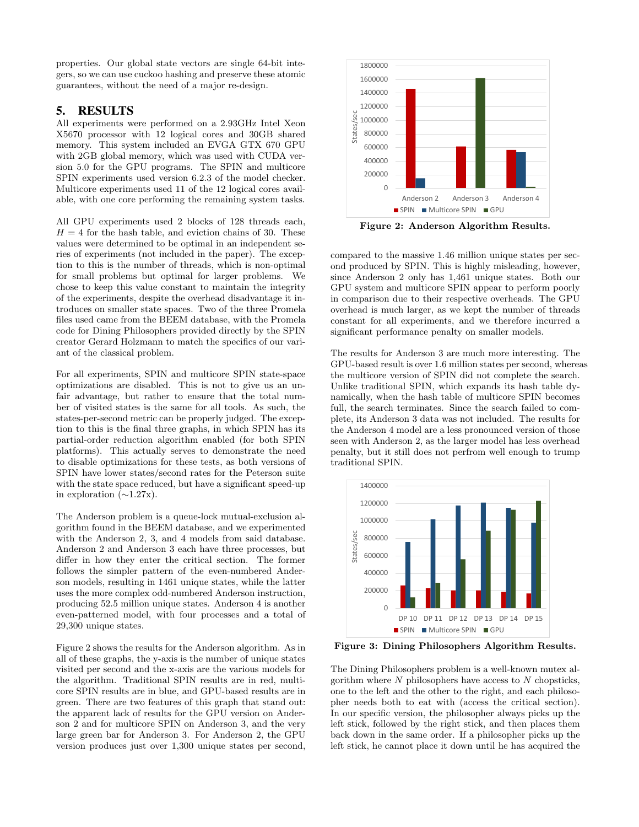properties. Our global state vectors are single 64-bit integers, so we can use cuckoo hashing and preserve these atomic guarantees, without the need of a major re-design.

## 5. RESULTS

All experiments were performed on a 2.93GHz Intel Xeon X5670 processor with 12 logical cores and 30GB shared memory. This system included an EVGA GTX 670 GPU with 2GB global memory, which was used with CUDA version 5.0 for the GPU programs. The SPIN and multicore SPIN experiments used version 6.2.3 of the model checker. Multicore experiments used 11 of the 12 logical cores available, with one core performing the remaining system tasks.

All GPU experiments used 2 blocks of 128 threads each,  $H = 4$  for the hash table, and eviction chains of 30. These values were determined to be optimal in an independent series of experiments (not included in the paper). The exception to this is the number of threads, which is non-optimal for small problems but optimal for larger problems. We chose to keep this value constant to maintain the integrity of the experiments, despite the overhead disadvantage it introduces on smaller state spaces. Two of the three Promela files used came from the BEEM database, with the Promela code for Dining Philosophers provided directly by the SPIN creator Gerard Holzmann to match the specifics of our variant of the classical problem.

For all experiments, SPIN and multicore SPIN state-space optimizations are disabled. This is not to give us an unfair advantage, but rather to ensure that the total number of visited states is the same for all tools. As such, the states-per-second metric can be properly judged. The exception to this is the final three graphs, in which SPIN has its partial-order reduction algorithm enabled (for both SPIN platforms). This actually serves to demonstrate the need to disable optimizations for these tests, as both versions of SPIN have lower states/second rates for the Peterson suite with the state space reduced, but have a significant speed-up in exploration  $(\sim 1.27x)$ .

The Anderson problem is a queue-lock mutual-exclusion algorithm found in the BEEM database, and we experimented with the Anderson 2, 3, and 4 models from said database. Anderson 2 and Anderson 3 each have three processes, but differ in how they enter the critical section. The former follows the simpler pattern of the even-numbered Anderson models, resulting in 1461 unique states, while the latter uses the more complex odd-numbered Anderson instruction, producing 52.5 million unique states. Anderson 4 is another even-patterned model, with four processes and a total of 29,300 unique states.

Figure 2 shows the results for the Anderson algorithm. As in all of these graphs, the y-axis is the number of unique states visited per second and the x-axis are the various models for the algorithm. Traditional SPIN results are in red, multicore SPIN results are in blue, and GPU-based results are in green. There are two features of this graph that stand out: the apparent lack of results for the GPU version on Anderson 2 and for multicore SPIN on Anderson 3, and the very large green bar for Anderson 3. For Anderson 2, the GPU version produces just over 1,300 unique states per second,



Figure 2: Anderson Algorithm Results.

compared to the massive 1.46 million unique states per second produced by SPIN. This is highly misleading, however, since Anderson 2 only has 1,461 unique states. Both our GPU system and multicore SPIN appear to perform poorly in comparison due to their respective overheads. The GPU overhead is much larger, as we kept the number of threads constant for all experiments, and we therefore incurred a significant performance penalty on smaller models.

The results for Anderson 3 are much more interesting. The GPU-based result is over 1.6 million states per second, whereas the multicore version of SPIN did not complete the search. Unlike traditional SPIN, which expands its hash table dynamically, when the hash table of multicore SPIN becomes full, the search terminates. Since the search failed to complete, its Anderson 3 data was not included. The results for the Anderson 4 model are a less pronounced version of those seen with Anderson 2, as the larger model has less overhead penalty, but it still does not perfrom well enough to trump traditional SPIN.



Figure 3: Dining Philosophers Algorithm Results.

The Dining Philosophers problem is a well-known mutex algorithm where  $N$  philosophers have access to  $N$  chopsticks, one to the left and the other to the right, and each philosopher needs both to eat with (access the critical section). In our specific version, the philosopher always picks up the left stick, followed by the right stick, and then places them back down in the same order. If a philosopher picks up the left stick, he cannot place it down until he has acquired the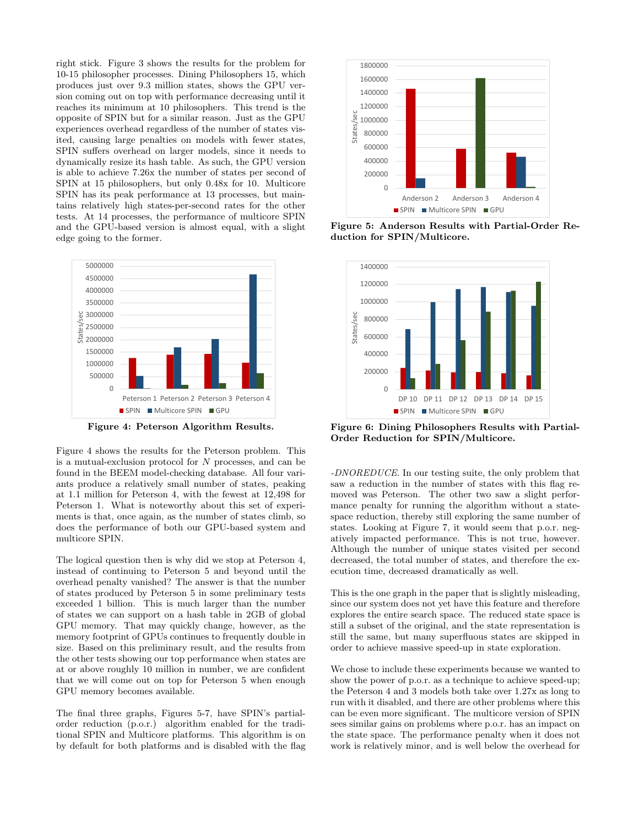right stick. Figure 3 shows the results for the problem for 10-15 philosopher processes. Dining Philosophers 15, which produces just over 9.3 million states, shows the GPU version coming out on top with performance decreasing until it reaches its minimum at 10 philosophers. This trend is the opposite of SPIN but for a similar reason. Just as the GPU experiences overhead regardless of the number of states visited, causing large penalties on models with fewer states, SPIN suffers overhead on larger models, since it needs to dynamically resize its hash table. As such, the GPU version is able to achieve 7.26x the number of states per second of SPIN at 15 philosophers, but only 0.48x for 10. Multicore SPIN has its peak performance at 13 processes, but maintains relatively high states-per-second rates for the other tests. At 14 processes, the performance of multicore SPIN and the GPU-based version is almost equal, with a slight edge going to the former.



Figure 4: Peterson Algorithm Results.

Figure 4 shows the results for the Peterson problem. This is a mutual-exclusion protocol for N processes, and can be found in the BEEM model-checking database. All four variants produce a relatively small number of states, peaking at 1.1 million for Peterson 4, with the fewest at 12,498 for Peterson 1. What is noteworthy about this set of experiments is that, once again, as the number of states climb, so does the performance of both our GPU-based system and multicore SPIN.

The logical question then is why did we stop at Peterson 4, instead of continuing to Peterson 5 and beyond until the overhead penalty vanished? The answer is that the number of states produced by Peterson 5 in some preliminary tests exceeded 1 billion. This is much larger than the number of states we can support on a hash table in 2GB of global GPU memory. That may quickly change, however, as the memory footprint of GPUs continues to frequently double in size. Based on this preliminary result, and the results from the other tests showing our top performance when states are at or above roughly 10 million in number, we are confident that we will come out on top for Peterson 5 when enough GPU memory becomes available.

The final three graphs, Figures 5-7, have SPIN's partialorder reduction (p.o.r.) algorithm enabled for the traditional SPIN and Multicore platforms. This algorithm is on by default for both platforms and is disabled with the flag



Figure 5: Anderson Results with Partial-Order Reduction for SPIN/Multicore.



Figure 6: Dining Philosophers Results with Partial-Order Reduction for SPIN/Multicore.

-DNOREDUCE. In our testing suite, the only problem that saw a reduction in the number of states with this flag removed was Peterson. The other two saw a slight performance penalty for running the algorithm without a statespace reduction, thereby still exploring the same number of states. Looking at Figure 7, it would seem that p.o.r. negatively impacted performance. This is not true, however. Although the number of unique states visited per second decreased, the total number of states, and therefore the execution time, decreased dramatically as well.

This is the one graph in the paper that is slightly misleading, since our system does not yet have this feature and therefore explores the entire search space. The reduced state space is still a subset of the original, and the state representation is still the same, but many superfluous states are skipped in order to achieve massive speed-up in state exploration.

We chose to include these experiments because we wanted to show the power of p.o.r. as a technique to achieve speed-up; the Peterson 4 and 3 models both take over 1.27x as long to run with it disabled, and there are other problems where this can be even more significant. The multicore version of SPIN sees similar gains on problems where p.o.r. has an impact on the state space. The performance penalty when it does not work is relatively minor, and is well below the overhead for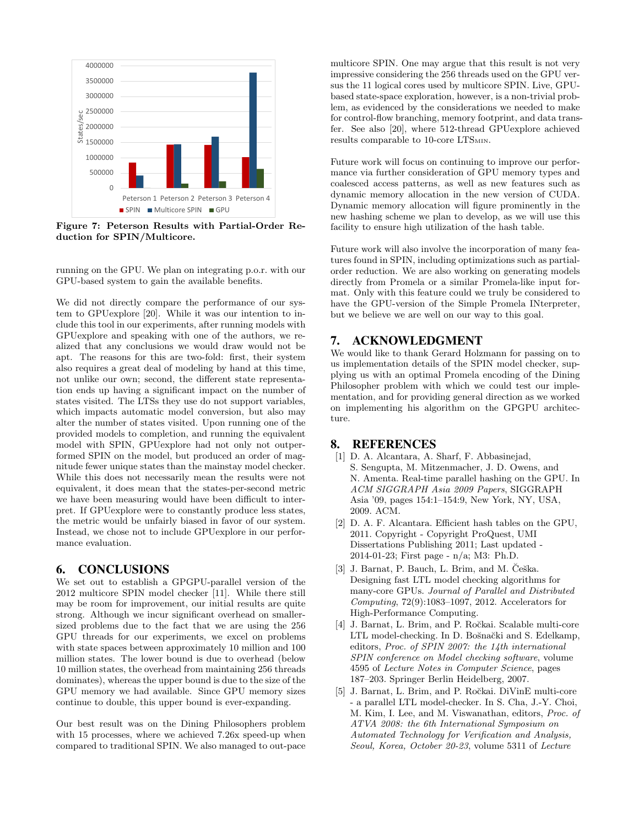

Figure 7: Peterson Results with Partial-Order Reduction for SPIN/Multicore.

running on the GPU. We plan on integrating p.o.r. with our GPU-based system to gain the available benefits.

We did not directly compare the performance of our system to GPUexplore [20]. While it was our intention to include this tool in our experiments, after running models with GPUexplore and speaking with one of the authors, we realized that any conclusions we would draw would not be apt. The reasons for this are two-fold: first, their system also requires a great deal of modeling by hand at this time, not unlike our own; second, the different state representation ends up having a significant impact on the number of states visited. The LTSs they use do not support variables, which impacts automatic model conversion, but also may alter the number of states visited. Upon running one of the provided models to completion, and running the equivalent model with SPIN, GPUexplore had not only not outperformed SPIN on the model, but produced an order of magnitude fewer unique states than the mainstay model checker. While this does not necessarily mean the results were not equivalent, it does mean that the states-per-second metric we have been measuring would have been difficult to interpret. If GPUexplore were to constantly produce less states, the metric would be unfairly biased in favor of our system. Instead, we chose not to include GPUexplore in our performance evaluation.

## 6. CONCLUSIONS

We set out to establish a GPGPU-parallel version of the 2012 multicore SPIN model checker [11]. While there still may be room for improvement, our initial results are quite strong. Although we incur significant overhead on smallersized problems due to the fact that we are using the 256 GPU threads for our experiments, we excel on problems with state spaces between approximately 10 million and 100 million states. The lower bound is due to overhead (below 10 million states, the overhead from maintaining 256 threads dominates), whereas the upper bound is due to the size of the GPU memory we had available. Since GPU memory sizes continue to double, this upper bound is ever-expanding.

Our best result was on the Dining Philosophers problem with 15 processes, where we achieved 7.26x speed-up when compared to traditional SPIN. We also managed to out-pace multicore SPIN. One may argue that this result is not very impressive considering the 256 threads used on the GPU versus the 11 logical cores used by multicore SPIN. Live, GPUbased state-space exploration, however, is a non-trivial problem, as evidenced by the considerations we needed to make for control-flow branching, memory footprint, and data transfer. See also [20], where 512-thread GPUexplore achieved results comparable to 10-core LTS<sub>MIN</sub>.

Future work will focus on continuing to improve our performance via further consideration of GPU memory types and coalesced access patterns, as well as new features such as dynamic memory allocation in the new version of CUDA. Dynamic memory allocation will figure prominently in the new hashing scheme we plan to develop, as we will use this facility to ensure high utilization of the hash table.

Future work will also involve the incorporation of many features found in SPIN, including optimizations such as partialorder reduction. We are also working on generating models directly from Promela or a similar Promela-like input format. Only with this feature could we truly be considered to have the GPU-version of the Simple Promela INterpreter, but we believe we are well on our way to this goal.

## 7. ACKNOWLEDGMENT

We would like to thank Gerard Holzmann for passing on to us implementation details of the SPIN model checker, supplying us with an optimal Promela encoding of the Dining Philosopher problem with which we could test our implementation, and for providing general direction as we worked on implementing his algorithm on the GPGPU architecture.

## 8. REFERENCES

- [1] D. A. Alcantara, A. Sharf, F. Abbasinejad, S. Sengupta, M. Mitzenmacher, J. D. Owens, and N. Amenta. Real-time parallel hashing on the GPU. In ACM SIGGRAPH Asia 2009 Papers, SIGGRAPH Asia '09, pages 154:1–154:9, New York, NY, USA, 2009. ACM.
- [2] D. A. F. Alcantara. Efficient hash tables on the GPU, 2011. Copyright - Copyright ProQuest, UMI Dissertations Publishing 2011; Last updated - 2014-01-23; First page - n/a; M3: Ph.D.
- [3] J. Barnat, P. Bauch, L. Brim, and M. Češka. Designing fast LTL model checking algorithms for many-core GPUs. Journal of Parallel and Distributed Computing, 72(9):1083–1097, 2012. Accelerators for High-Performance Computing.
- [4] J. Barnat, L. Brim, and P. Ročkai. Scalable multi-core LTL model-checking. In D. Bošnački and S. Edelkamp, editors, Proc. of SPIN 2007: the 14th international SPIN conference on Model checking software, volume 4595 of Lecture Notes in Computer Science, pages 187–203. Springer Berlin Heidelberg, 2007.
- [5] J. Barnat, L. Brim, and P. Ročkai. DiVinE multi-core - a parallel LTL model-checker. In S. Cha, J.-Y. Choi, M. Kim, I. Lee, and M. Viswanathan, editors, Proc. of ATVA 2008: the 6th International Symposium on Automated Technology for Verification and Analysis, Seoul, Korea, October 20-23, volume 5311 of Lecture